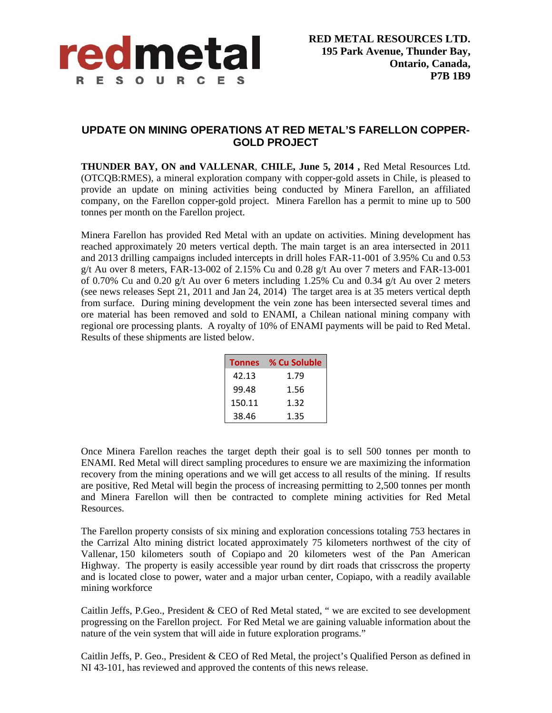

## **UPDATE ON MINING OPERATIONS AT RED METAL'S FARELLON COPPER-GOLD PROJECT**

**THUNDER BAY, ON and VALLENAR**, **CHILE, June 5, 2014 ,** Red Metal Resources Ltd. (OTCQB:RMES), a mineral exploration company with copper-gold assets in Chile, is pleased to provide an update on mining activities being conducted by Minera Farellon, an affiliated company, on the Farellon copper-gold project. Minera Farellon has a permit to mine up to 500 tonnes per month on the Farellon project.

Minera Farellon has provided Red Metal with an update on activities. Mining development has reached approximately 20 meters vertical depth. The main target is an area intersected in 2011 and 2013 drilling campaigns included intercepts in drill holes FAR-11-001 of 3.95% Cu and 0.53 g/t Au over 8 meters, FAR-13-002 of 2.15% Cu and 0.28 g/t Au over 7 meters and FAR-13-001 of 0.70% Cu and 0.20 g/t Au over 6 meters including 1.25% Cu and 0.34 g/t Au over 2 meters (see news releases Sept 21, 2011 and Jan 24, 2014) The target area is at 35 meters vertical depth from surface. During mining development the vein zone has been intersected several times and ore material has been removed and sold to ENAMI, a Chilean national mining company with regional ore processing plants. A royalty of 10% of ENAMI payments will be paid to Red Metal. Results of these shipments are listed below.

| <b>Tonnes</b> | % Cu Soluble |
|---------------|--------------|
| 42.13         | 1.79         |
| 99.48         | 1.56         |
| 150.11        | 1.32         |
| 38.46         | 1.35         |

Once Minera Farellon reaches the target depth their goal is to sell 500 tonnes per month to ENAMI. Red Metal will direct sampling procedures to ensure we are maximizing the information recovery from the mining operations and we will get access to all results of the mining. If results are positive, Red Metal will begin the process of increasing permitting to 2,500 tonnes per month and Minera Farellon will then be contracted to complete mining activities for Red Metal Resources.

The Farellon property consists of six mining and exploration concessions totaling 753 hectares in the Carrizal Alto mining district located approximately 75 kilometers northwest of the city of Vallenar, 150 kilometers south of Copiapo and 20 kilometers west of the Pan American Highway. The property is easily accessible year round by dirt roads that crisscross the property and is located close to power, water and a major urban center, Copiapo, with a readily available mining workforce

Caitlin Jeffs, P.Geo., President & CEO of Red Metal stated, " we are excited to see development progressing on the Farellon project. For Red Metal we are gaining valuable information about the nature of the vein system that will aide in future exploration programs."

Caitlin Jeffs, P. Geo., President & CEO of Red Metal, the project's Qualified Person as defined in NI 43-101, has reviewed and approved the contents of this news release.